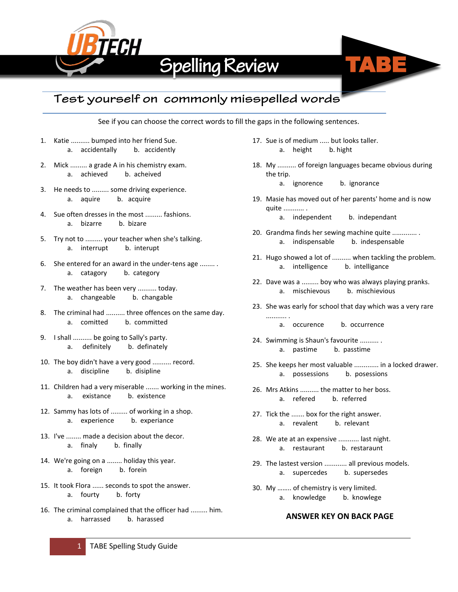

# **Spelling Review**



## Test yourself on commonly misspelled words

See if you can choose the correct words to fill the gaps in the following sentences.

- 1. Katie .......... bumped into her friend Sue. a. accidentally b. accidently
- 2. Mick ......... a grade A in his chemistry exam. a. achieved b. acheived
- 3. He needs to ......... some driving experience. a. aquire b. acquire
- 4. Sue often dresses in the most ......... fashions. a. bizarre b. bizare
- 5. Try not to ......... your teacher when she's talking. a. interrupt b. interupt
- 6. She entered for an award in the under-tens age ........ . a. catagory b. category
- 7. The weather has been very .......... today. a. changeable b. changable
- 8. The criminal had .......... three offences on the same day. a. comitted b. committed
- 9. I shall .......... be going to Sally's party. a. definitely b. definately
- 10. The boy didn't have a very good .......... record. a. discipline b. disipline
- 11. Children had a very miserable ....... working in the mines. a. existance b. existence
- 12. Sammy has lots of ......... of working in a shop. a. experience b. experiance
- 13. I've ........ made a decision about the decor. a. finaly b. finally
- 14. We're going on a ........ holiday this year. a. foreign b. forein
- 15. It took Flora ...... seconds to spot the answer. a. fourty b. forty
- 16. The criminal complained that the officer had ......... him. a. harrassed b. harassed
- 17. Sue is of medium ..... but looks taller. a. height b. hight
- 18. My .......... of foreign languages became obvious during the trip.
	- a. ignorence b. ignorance
- 19. Masie has moved out of her parents' home and is now quite ........... .
	- a. independent b. independant
- 20. Grandma finds her sewing machine quite ............. . a. indispensable b. indespensable
- 21. Hugo showed a lot of .......... when tackling the problem. a. intelligence b. intelligance
- 22. Dave was a ......... boy who was always playing pranks. a. mischievous b. mischievious
- 23. She was early for school that day which was a very rare ........... .
	- a. occurence b. occurrence
- 24. Swimming is Shaun's favourite .......... . a. pastime b. passtime
- 25. She keeps her most valuable ............. in a locked drawer. a. possessions b. posessions
- 26. Mrs Atkins .......... the matter to her boss. a. refered b. referred
- 27. Tick the ....... box for the right answer. a. revalent b. relevant
- 28. We ate at an expensive ........... last night. a. restaurant b. restaraunt
- 29. The lastest version ............ all previous models. a. supercedes b. supersedes
- 30. My …….. of chemistry is very limited. a. knowledge b. knowlege

## **ANSWER KEY ON BACK PAGE**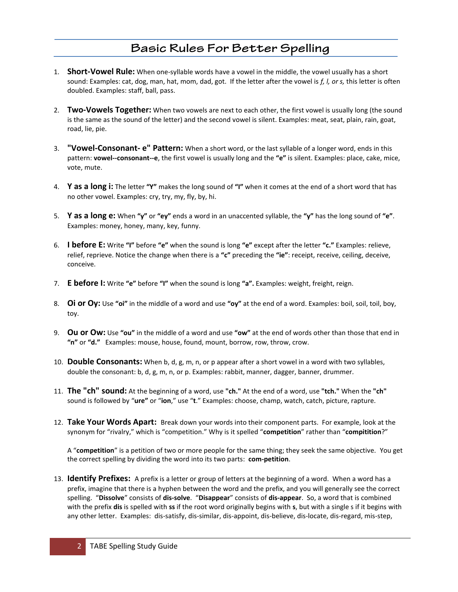### **Basic Rules For Better Spelling**

- 1. **Short-Vowel Rule:** When one-syllable words have a vowel in the middle, the vowel usually has a short sound: Examples: cat, dog, man, hat, mom, dad, got. If the letter after the vowel is *f, l, or s,* this letter is often doubled. Examples: staff, ball, pass.
- 2. **Two-Vowels Together:** When two vowels are next to each other, the first vowel is usually long (the sound is the same as the sound of the letter) and the second vowel is silent. Examples: meat, seat, plain, rain, goat, road, lie, pie.
- 3. **"Vowel-Consonant- e" Pattern:** When a short word, or the last syllable of a longer word, ends in this pattern: **vowel--consonant--e**, the first vowel is usually long and the **"e"** is silent. Examples: place, cake, mice, vote, mute.
- 4. **Y as a long i:** The letter **"Y"** makes the long sound of **"I"** when it comes at the end of a short word that has no other vowel. Examples: cry, try, my, fly, by, hi.
- 5. **Y as a long e:** When **"y"** or **"ey"** ends a word in an unaccented syllable, the **"y"** has the long sound of **"e"**. Examples: money, honey, many, key, funny.
- 6. **I before E:** Write **"I"** before **"e"** when the sound is long **"e"** except after the letter **"c."** Examples: relieve, relief, reprieve. Notice the change when there is a **"c"** preceding the **"ie"**: receipt, receive, ceiling, deceive, conceive.
- 7. **E before I:** Write **"e"** before **"I"** when the sound is long **"a".** Examples: weight, freight, reign.
- 8. **Oi or Oy:** Use **"oi"** in the middle of a word and use **"oy"** at the end of a word. Examples: boil, soil, toil, boy, toy.
- 9. **Ou or Ow:** Use **"ou"** in the middle of a word and use **"ow"** at the end of words other than those that end in **"n"** or **"d."** Examples: mouse, house, found, mount, borrow, row, throw, crow.
- 10. **Double Consonants:** When b, d, g, m, n, or p appear after a short vowel in a word with two syllables, double the consonant: b, d, g, m, n, or p. Examples: rabbit, manner, dagger, banner, drummer.
- 11. **The "ch" sound:** At the beginning of a word, use **"ch."** At the end of a word, use **"tch."** When the **"ch"**  sound is followed by "**ure"** or "**ion**," use "**t**." Examples: choose, champ, watch, catch, picture, rapture.
- 12. **Take Your Words Apart:** Break down your words into their component parts. For example, look at the synonym for "rivalry," which is "competition." Why is it spelled "**competition**" rather than "**compitition**?"

A "**competition**" is a petition of two or more people for the same thing; they seek the same objective. You get the correct spelling by dividing the word into its two parts: **com-petition**.

13. **Identify Prefixes:** A prefix is a letter or group of letters at the beginning of a word. When a word has a prefix, imagine that there is a hyphen between the word and the prefix, and you will generally see the correct spelling. "**Dissolve**" consists of **dis-solve**. "**Disappear**" consists of **dis-appear**. So, a word that is combined with the prefix **dis** is spelled with **ss** if the root word originally begins with **s**, but with a single s if it begins with any other letter. Examples: dis-satisfy, dis-similar, dis-appoint, dis-believe, dis-locate, dis-regard, mis-step,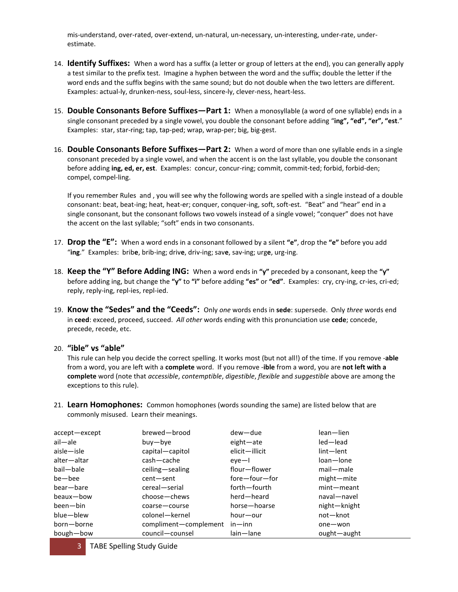mis-understand, over-rated, over-extend, un-natural, un-necessary, un-interesting, under-rate, underestimate.

- 14. **Identify Suffixes:** When a word has a suffix (a letter or group of letters at the end), you can generally apply a test similar to the prefix test. Imagine a hyphen between the word and the suffix; double the letter if the word ends and the suffix begins with the same sound; but do not double when the two letters are different. Examples: actual-ly, drunken-ness, soul-less, sincere-ly, clever-ness, heart-less.
- 15. **Double Consonants Before Suffixes—Part 1:** When a monosyllable (a word of one syllable) ends in a single consonant preceded by a single vowel, you double the consonant before adding "**ing", "ed", "er", "est**." Examples: star, star-ring; tap, tap-ped; wrap, wrap-per; big, big-gest.
- 16. **Double Consonants Before Suffixes—Part 2:** When a word of more than one syllable ends in a single consonant preceded by a single vowel, and when the accent is on the last syllable, you double the consonant before adding **ing, ed, er, est**. Examples: concur, concur-ring; commit, commit-ted; forbid, forbid-den; compel, compel-ling.

If you remember Rules and , you will see why the following words are spelled with a single instead of a double consonant: beat, beat-ing; heat, heat-er; conquer, conquer-ing, soft, soft-est. "Beat" and "hear" end in a single consonant, but the consonant follows two vowels instead of a single vowel; "conquer" does not have the accent on the last syllable; "soft" ends in two consonants.

- 17. **Drop the "E":** When a word ends in a consonant followed by a silent **"e"**, drop the **"e"** before you add "**ing**." Examples: brib**e**, brib-ing; driv**e**, driv-ing; sav**e**, sav-ing; urg**e**, urg-ing.
- 18. **Keep the "Y" Before Adding ING:** When a word ends in **"y"** preceded by a consonant, keep the **"y"** before adding ing, but change the **"y"** to **"i"** before adding **"es"** or **"ed"**. Examples: cry, cry-ing, cr-ies, cri-ed; reply, reply-ing, repl-ies, repl-ied.
- 19. **Know the "Sedes" and the "Ceeds":** Only *one* words ends in **sede**: supersede. Only *three* words end in **ceed**: exceed, proceed, succeed. *All other* words ending with this pronunciation use **cede**; concede, precede, recede, etc.

#### 20. **"ible" vs "able"**

This rule can help you decide the correct spelling. It works most (but not all!) of the time. If you remove -**able** from a word, you are left with a **complete** word. If you remove -**ible** from a word, you are **not left with a complete** word (note that *accessible*, *contemptible*, *digestible*, *flexible* and *suggestible* above are among the exceptions to this rule).

21. **Learn Homophones:** Common homophones (words sounding the same) are listed below that are commonly misused. Learn their meanings.

| accept-except | brewed-brood          | dew-due        | lean-lien    |
|---------------|-----------------------|----------------|--------------|
| ail-ale       | buy—bye               | eight-ate      | led-lead     |
| aisle-isle    | capital-capitol       | elicit-illicit | lint-lent    |
| alter-altar   | cash-cache            | $even-1$       | loan-lone    |
| bail-bale     | ceiling-sealing       | flour—flower   | mail-male    |
| be-bee        | cent-sent             | fore-four-for  | might-mite   |
| bear-bare     | cereal-serial         | forth-fourth   | mint-meant   |
| beaux-bow     | choose-chews          | herd-heard     | naval-navel  |
| been-bin      | coarse-course         | horse-hoarse   | night-knight |
| blue-blew     | colonel-kernel        | hour-our       | not-knot     |
| born-borne    | compliment-complement | $in$ — $inn$   | one-won      |
| bough-bow     | council-counsel       | lain-lane      | ought-aught  |

**TABE Spelling Study Guide**